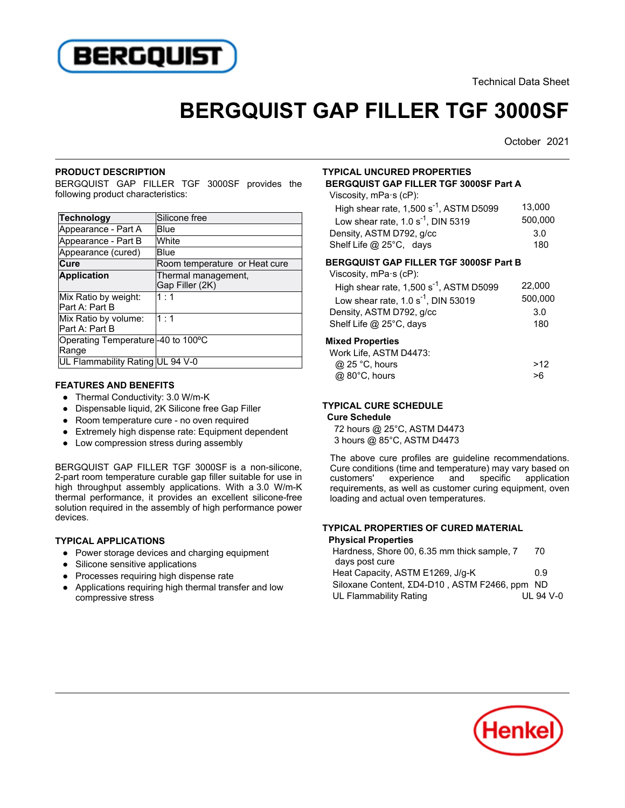

Technical Data Sheet

# **BERGQUIST GAP FILLER TGF 3000SF**

October 2021

#### **PRODUCT DESCRIPTION**

BERGQUIST GAP FILLER TGF 3000SF provides the following product characteristics:

| Technology                                  | Silicone free                          |
|---------------------------------------------|----------------------------------------|
| Appearance - Part A                         | Blue                                   |
| Appearance - Part B                         | White                                  |
| Appearance (cured)                          | Blue                                   |
| Cure                                        | Room temperature or Heat cure          |
| <b>Application</b>                          | Thermal management,<br>Gap Filler (2K) |
| Mix Ratio by weight:<br>Part A: Part B      | $1 \cdot 1$                            |
| Mix Ratio by volume:<br>Part A: Part B      | 1:1                                    |
| Operating Temperature -40 to 100°C<br>Range |                                        |
| UL Flammability Rating UL 94 V-0            |                                        |

#### **FEATURES AND BENEFITS**

- 11 Unit=0 and Danier 11 Unit=0.000 W/m-K
- Dispensable liquid, 2K Silicone free Gap Filler
- Room temperature cure no oven required
- Extremely high dispense rate: Equipment dependent
- Low compression stress during assembly

BERGQUIST GAP FILLER TGF 3000SF is a non-silicone, 2-part room temperature curable gap filler suitable for use in high throughput assembly applications. With a 3.0 W/m-K thermal performance, it provides an excellent silicone-free solution required in the assembly of high performance power devices.

# **TYPICAL APPLICATIONS**

- Power storage devices and charging equipment
- Silicone sensitive applications
- Processes requiring high dispense rate
- $\overline{\phantom{a}}$  Applications requiring high thermal transfer and low compressive stress

#### **TYPICAL UNCURED PROPERTIES BERGQUIST GAP FILLER TGF 3000SF Part A**

Viscosity, mPa·s (cP):

| High shear rate, $1,500 s-1$ , ASTM D5099 | 13.000  |
|-------------------------------------------|---------|
| Low shear rate, $1.0 s-1$ , DIN 5319      | 500.000 |
| Density, ASTM D792, g/cc                  | 3.0     |
| Shelf Life @ 25°C, days                   | 180     |

### **BERGQUIST GAP FILLER TGF 3000SF Part B**

| Viscosity, $mPa \succeq (cP)$ :           |         |
|-------------------------------------------|---------|
| High shear rate, $1,500 s-1$ , ASTM D5099 | 22.000  |
| Low shear rate, $1.0 s-1$ , DIN 53019     | 500,000 |
| Density, ASTM D792, g/cc                  | 3.0     |
| Shelf Life @ 25°C, days                   | 180     |
| <b>Mixed Properties</b>                   |         |
| Work Life, ASTM D4473:                    |         |
| $\sim$ $\sim$ $\sim$ $\sim$ $\sim$        |         |

| @ 25 °C, hours | >12 |
|----------------|-----|
| @ 80°C, hours  | >6  |

# **TYPICAL CURE SCHEDULE**

# **Cure Schedule**

72 hours @ 25°C, ASTM D4473 3 hours @ 85°C, ASTM D4473

The above cure profiles are guideline recommendations. The above care promes are galactine recommendations.<br>Cure conditions (time and temperature) may vary based on customers'experience and specific application requirements, as well as customer curing equipment, oven requirements, as well as castomer car<br>loading and actual oven temperatures.

#### **TYPICAL PROPERTIES OF CURED MATERIAL Physical Properties**

| Hardness, Shore 00, 6.35 mm thick sample, 7<br>days post cure | 70        |
|---------------------------------------------------------------|-----------|
|                                                               |           |
| Heat Capacity, ASTM E1269, J/g-K                              | 0.9       |
| Siloxane Content, ΣD4-D10, ASTM F2466, ppm ND                 |           |
| UL Flammability Rating                                        | $U194V-0$ |